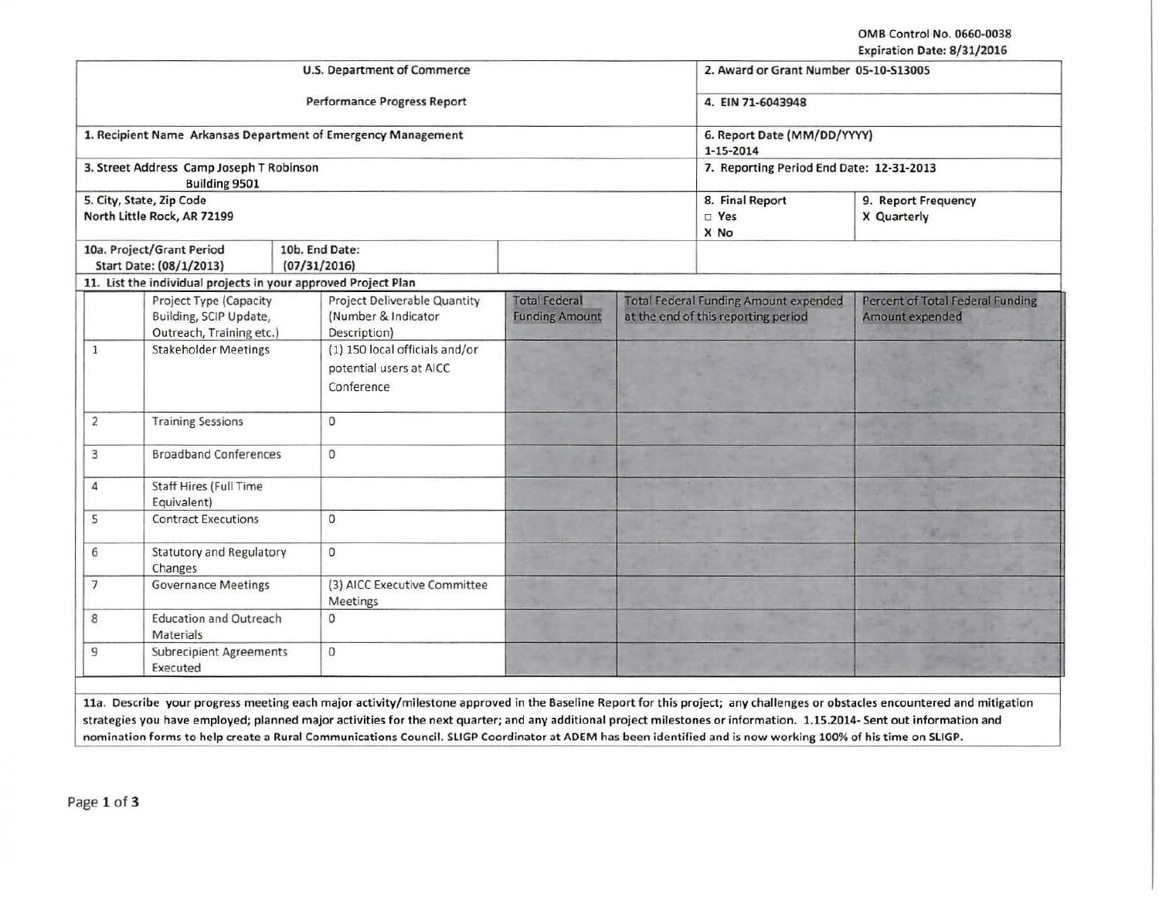OMB Control No. 0660·0038 Expiration Date: 8/31/2016

|                                                   |                                                                              | <b>U.S. Department of Commerce</b>                                         |                                               |                                                                                     | 2. Award or Grant Number 05-10-S13005    |                                                            |
|---------------------------------------------------|------------------------------------------------------------------------------|----------------------------------------------------------------------------|-----------------------------------------------|-------------------------------------------------------------------------------------|------------------------------------------|------------------------------------------------------------|
|                                                   |                                                                              | <b>Performance Progress Report</b>                                         |                                               | 4. EIN 71-6043948                                                                   |                                          |                                                            |
|                                                   |                                                                              | 1. Recipient Name Arkansas Department of Emergency Management              | 6. Report Date (MM/DD/YYYY)<br>1-15-2014      |                                                                                     |                                          |                                                            |
|                                                   | 3. Street Address Camp Joseph T Robinson<br><b>Building 9501</b>             |                                                                            |                                               |                                                                                     | 7. Reporting Period End Date: 12-31-2013 |                                                            |
|                                                   | 5. City, State, Zip Code<br>North Little Rock, AR 72199                      |                                                                            | 8. Final Report<br>$\square$ Yes<br>X No      | 9. Report Frequency<br>X Quarterly                                                  |                                          |                                                            |
|                                                   | 10a. Project/Grant Period<br>Start Date: (08/1/2013)                         | 10b. End Date:<br>(07/31/2016)                                             |                                               |                                                                                     |                                          |                                                            |
|                                                   | 11. List the individual projects in your approved Project Plan               |                                                                            |                                               |                                                                                     |                                          |                                                            |
|                                                   | Project Type (Capacity<br>Building, SCIP Update,<br>Outreach, Training etc.) | <b>Project Deliverable Quantity</b><br>(Number & Indicator<br>Description) | <b>Total Federal</b><br><b>Funding Amount</b> | <b>Total Federal Funding Amount expended</b><br>at the end of this reporting period |                                          | <b>Percent of Total Federal Funding</b><br>Amount expended |
| <b>Stakeholder Meetings</b><br>$\mathbf{1}$       |                                                                              | (1) 150 local officials and/or<br>potential users at AICC<br>Conference    |                                               |                                                                                     |                                          |                                                            |
| $\overline{2}$<br><b>Training Sessions</b>        |                                                                              | 0                                                                          |                                               |                                                                                     |                                          |                                                            |
| <b>Broadband Conferences</b><br>3                 |                                                                              | $\mathbf{0}$                                                               |                                               |                                                                                     |                                          |                                                            |
| <b>Staff Hires (Full Time</b><br>4<br>Equivalent) |                                                                              |                                                                            |                                               |                                                                                     |                                          |                                                            |
| 5<br><b>Contract Executions</b>                   |                                                                              | $\mathbf{O}$                                                               |                                               |                                                                                     |                                          |                                                            |
| <b>Statutory and Regulatory</b><br>6<br>Changes   |                                                                              | $\mathbf{0}$                                                               |                                               |                                                                                     |                                          |                                                            |
| <b>Governance Meetings</b><br>$\overline{7}$      |                                                                              | (3) AICC Executive Committee<br>Meetings                                   |                                               |                                                                                     |                                          |                                                            |
| 8                                                 | <b>Education and Outreach</b><br>Materials                                   | $\mathbf 0$                                                                |                                               |                                                                                     |                                          |                                                            |
| 9                                                 | <b>Subrecipient Agreements</b><br>Executed                                   | 0                                                                          |                                               |                                                                                     |                                          |                                                            |

lla. Describe your progress meeting each major activity/milestone approved in the Baseline Report for this project; any challenges or obstacles encountered and mitigation strategies you have employed; planned major activities for the next quarter; and any additional project milestones or information. 1.15.2014· Sent out information and nomination forms to help create a Rural Communications Council. SLIGP Coordinator at ADEM has been identified and is now working 100% of his time on SLIGP.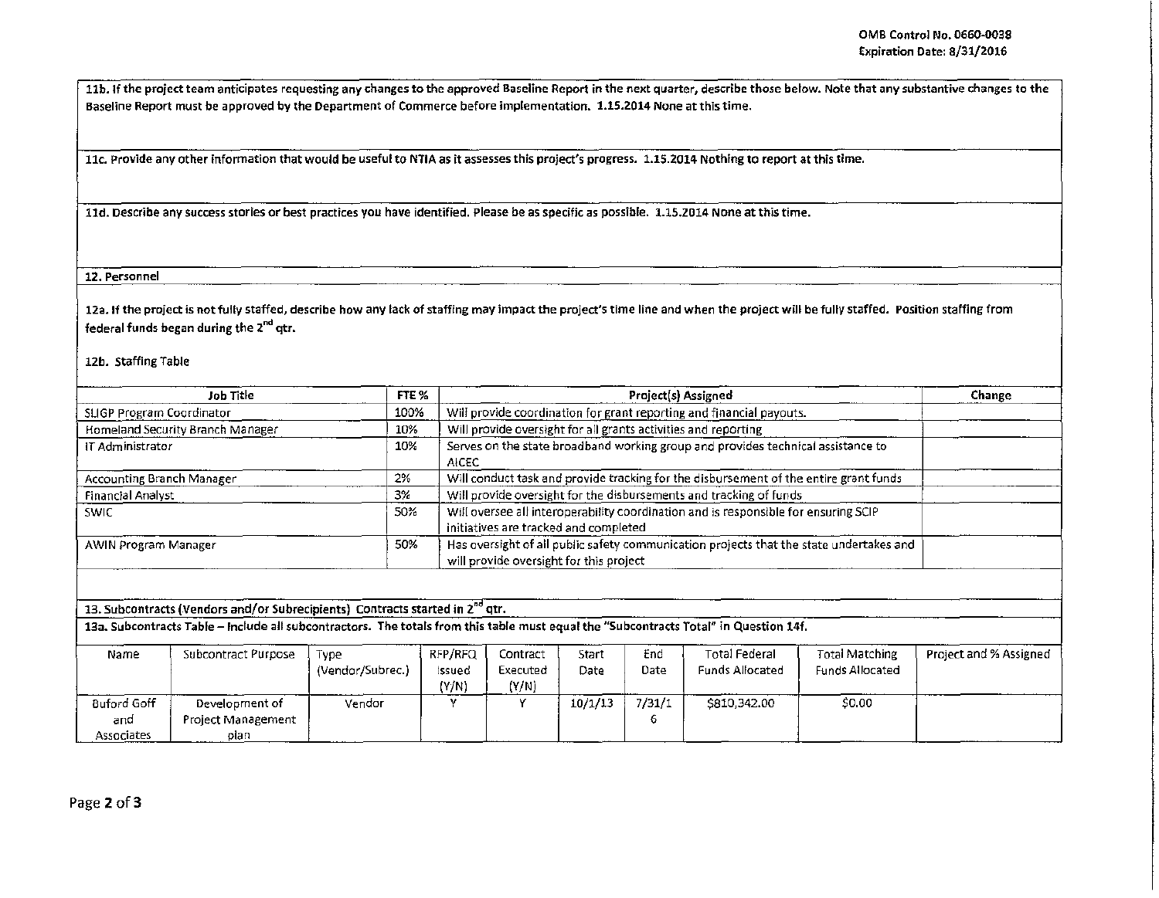'

!

11b. If the project team anticipates requesting any changes to the approved Baseline Report in the next quarter, describe those below. Note that any substantive changes to the Baseline Report must be approved by the Department of Commerce before implementation. 1.15.2014 None at this time.

llc. Provide any other information that would be useful to NTIA as it assesses this project's progress. 1.15.2014 Nothing to report at this time.

ltd. Describe any success stories or best practices you have identified. Please be as specific as possible. 1.15.2014 None at this time.

12. Personnel

12a. If the project is not fully staffed, describe how any lack of staffing may impact the project's time line and when the project will be fully staffed. Position staffing from federal funds began during the 2<sup>nd</sup> qtr.

12b. Staffing Table

| Job Title                        | FTE % | <b>Project(s) Assigned</b>                                                                                                         | Change |  |
|----------------------------------|-------|------------------------------------------------------------------------------------------------------------------------------------|--------|--|
| SLIGP Program Coordinator        | 100%  | Will provide coordination for grant reporting and financial payouts.                                                               |        |  |
| Homeland Security Branch Manager | 10%   | Will provide oversight for all grants activities and reporting                                                                     |        |  |
| IT Administrator                 | 10%   | Serves on the state broadband working group and provides technical assistance to<br>AICEC                                          |        |  |
| 2%<br>Accounting Branch Manager  |       | Will conduct task and provide tracking for the disbursement of the entire grant funds                                              |        |  |
| <b>Financial Analyst</b>         | 3%    | Will provide oversight for the disbursements and tracking of funds                                                                 |        |  |
| 50%<br><b>SWIC</b>               |       | Will oversee all interoperability coordination and is responsible for ensuring SCIP<br>initiatives are tracked and completed       |        |  |
| AWIN Program Manager             | 50%   | Has oversight of all public safety communication projects that the state undertakes and<br>will provide oversight for this project |        |  |

13. Subcontracts (Vendors and/or Subrecipients) Contracts started in 2<sup>nd</sup> qtr.

13a. Subcontracts Table - Include all subcontractors. The totals from this table must equal the "Subcontracts Total" in Question 14f.

| Name               | Subcontract Purpose | Type             | RFP/RFQ | Contract | Start   | End    | Total Federal   | <b>Total Matching</b>  | Project and % Assigned |
|--------------------|---------------------|------------------|---------|----------|---------|--------|-----------------|------------------------|------------------------|
|                    |                     | (Vendor/Subrec.) | issued  | Executed | Date    | Date   | Funds Allocated | <b>Funds Allocated</b> |                        |
|                    |                     |                  | (Y/N)   | (Y/N)    |         |        |                 |                        |                        |
| <b>Buford Goff</b> | Development of      | Vendor           |         |          | 10/1/13 | 7/31/1 | \$810,342.00    | \$0.00                 |                        |
| and                | Project Management  |                  |         |          |         | b      |                 |                        |                        |
| Associates         | plan                |                  |         |          |         |        |                 |                        |                        |
|                    |                     |                  |         |          |         |        |                 |                        |                        |